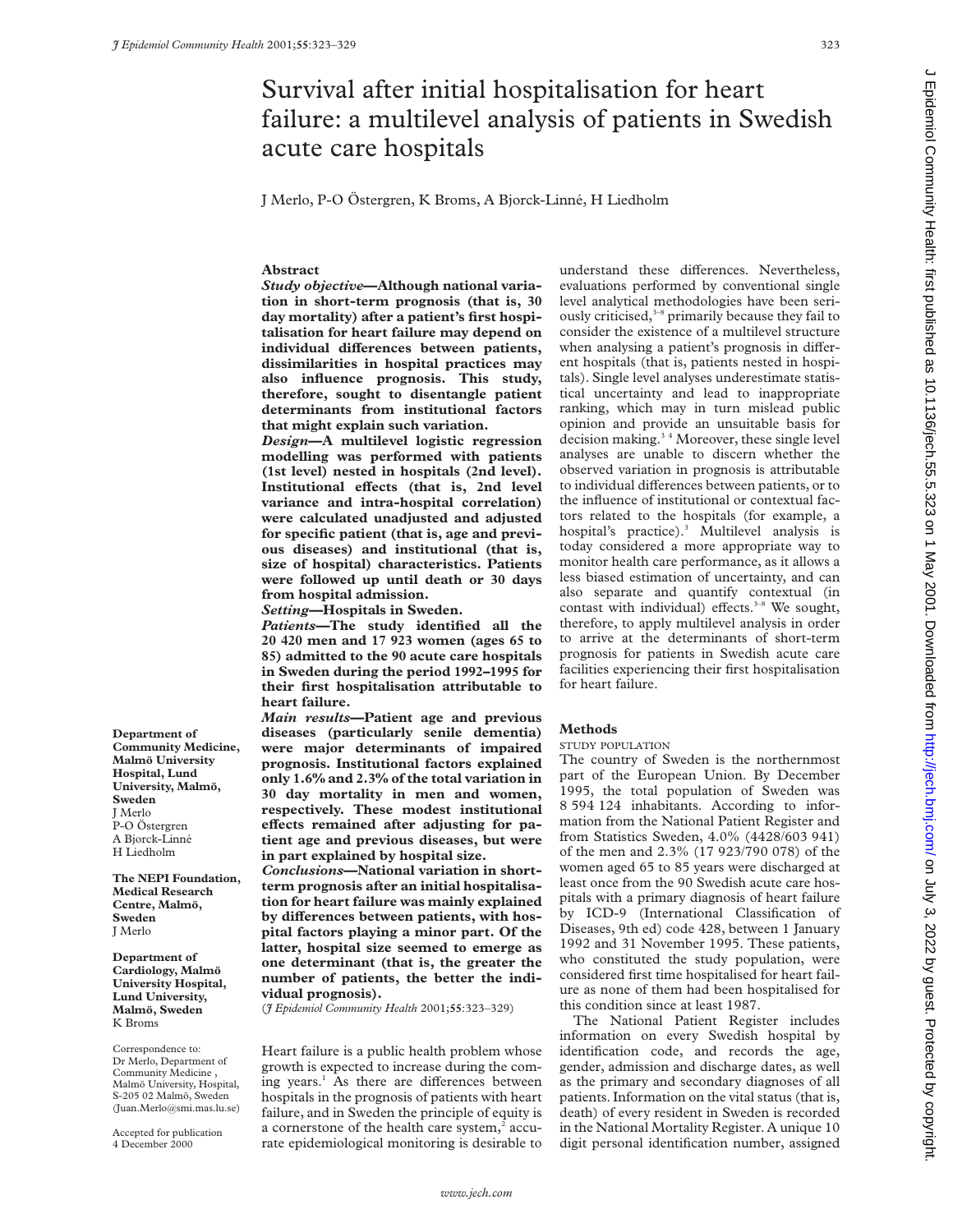# Survival after initial hospitalisation for heart failure: a multilevel analysis of patients in Swedish acute care hospitals

J Merlo, P-O Östergren, K Broms, A Bjorck-Linné, H Liedholm

# **Abstract**

*Study objective***—Although national variation in short-term prognosis (that is, 30 day mortality) after a patient's first hospitalisation for heart failure may depend on** individual differences between patients, **dissimilarities in hospital practices may also influence prognosis. This study, therefore, sought to disentangle patient determinants from institutional factors that might explain such variation.**

*Design***—A multilevel logistic regression modelling was performed with patients (1st level) nested in hospitals (2nd level).** Institutional effects (that is, 2nd level **variance and intra-hospital correlation) were calculated unadjusted and adjusted for specific patient (that is, age and previous diseases) and institutional (that is, size of hospital) characteristics. Patients were followed up until death or 30 days from hospital admission.**

*Setting***—Hospitals in Sweden.**

*Patients***—The study identified all the 20 420 men and 17 923 women (ages 65 to 85) admitted to the 90 acute care hospitals in Sweden during the period 1992–1995 for their first hospitalisation attributable to heart failure.**

*Main results***—Patient age and previous diseases (particularly senile dementia) were major determinants of impaired prognosis. Institutional factors explained only 1.6% and 2.3% of the total variation in 30 day mortality in men and women, respectively. These modest institutional** effects remained after adjusting for pa**tient age and previous diseases, but were in part explained by hospital size.**

*Conclusions***—National variation in shortterm prognosis after an initial hospitalisation for heart failure was mainly explained** by differences between patients, with hos**pital factors playing a minor part. Of the latter, hospital size seemed to emerge as one determinant (that is, the greater the number of patients, the better the individual prognosis).**

(*J Epidemiol Community Health* 2001;**55**:323–329)

Heart failure is a public health problem whose growth is expected to increase during the coming years.<sup>1</sup> As there are differences between hospitals in the prognosis of patients with heart failure, and in Sweden the principle of equity is a cornerstone of the health care system,<sup>2</sup> accurate epidemiological monitoring is desirable to

understand these differences. Nevertheless, evaluations performed by conventional single level analytical methodologies have been seriously criticised, $3-8$  primarily because they fail to consider the existence of a multilevel structure when analysing a patient's prognosis in different hospitals (that is, patients nested in hospitals). Single level analyses underestimate statistical uncertainty and lead to inappropriate ranking, which may in turn mislead public opinion and provide an unsuitable basis for decision making. $3<sup>4</sup>$  Moreover, these single level analyses are unable to discern whether the observed variation in prognosis is attributable to individual differences between patients, or to the influence of institutional or contextual factors related to the hospitals (for example, a hospital's practice).<sup>3</sup> Multilevel analysis is today considered a more appropriate way to monitor health care performance, as it allows a less biased estimation of uncertainty, and can also separate and quantify contextual (in contast with individual) effects.<sup>3-8</sup> We sought, therefore, to apply multilevel analysis in order to arrive at the determinants of short-term prognosis for patients in Swedish acute care facilities experiencing their first hospitalisation for heart failure.

### **Methods**

### STUDY POPULATION

The country of Sweden is the northernmost part of the European Union. By December 1995, the total population of Sweden was 8 594 124 inhabitants. According to information from the National Patient Register and from Statistics Sweden, 4.0% (4428/603 941) of the men and 2.3% (17 923/790 078) of the women aged 65 to 85 years were discharged at least once from the 90 Swedish acute care hospitals with a primary diagnosis of heart failure by ICD-9 (International Classification of Diseases, 9th ed) code 428, between 1 January 1992 and 31 November 1995. These patients, who constituted the study population, were considered first time hospitalised for heart failure as none of them had been hospitalised for this condition since at least 1987.

The National Patient Register includes information on every Swedish hospital by identification code, and records the age, gender, admission and discharge dates, as well as the primary and secondary diagnoses of all patients. Information on the vital status (that is, death) of every resident in Sweden is recorded in the National Mortality Register. A unique 10 digit personal identification number, assigned

**Department of Community Medicine, Malmö University Hospital, Lund University, Malmö, Sweden** J Merlo P-O Östergren A Bjorck-Linné H Liedholm

**The NEPI Foundation, Medical Research Centre, Malmö, Sweden** J Merlo

**Department of Cardiology, Malmö University Hospital, Lund University, Malmö, Sweden** K Broms

Correspondence to: Dr Merlo, Department of Community Medicine , Malmö University, Hospital, S-205 02 Malmö, Sweden (Juan.Merlo@smi.mas.lu.se)

Accepted for publication 4 December 2000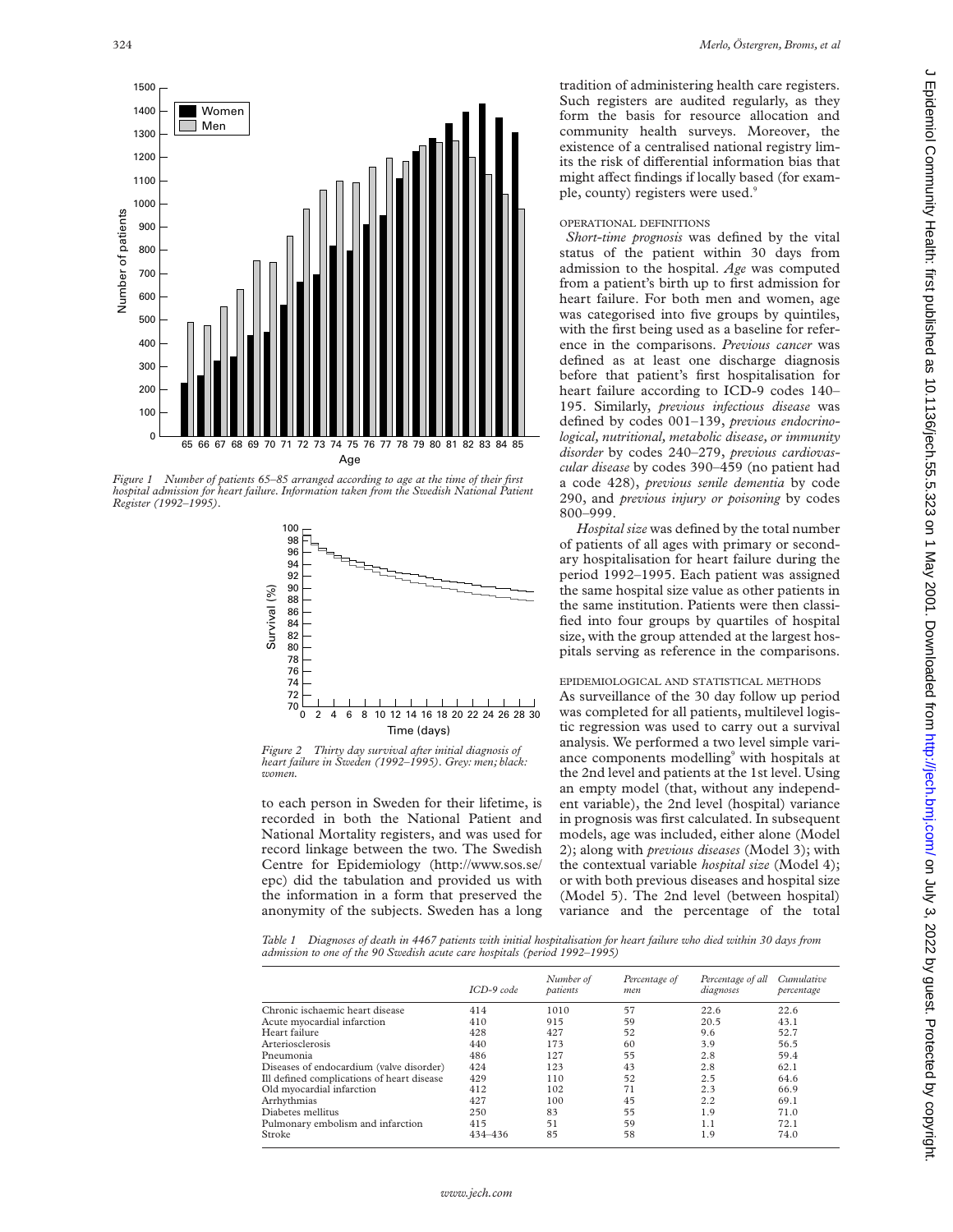

*Figure 1 Number of patients 65–85 arranged according to age at the time of their first hospital admission for heart failure. Information taken from the Swedish National Patient Register (1992–1995).*



*Figure 2 Thirty day survival after initial diagnosis of heart failure in Sweden (1992–1995). Grey: men; black: women.*

to each person in Sweden for their lifetime, is recorded in both the National Patient and National Mortality registers, and was used for record linkage between the two. The Swedish Centre for Epidemiology (http://www.sos.se/ epc) did the tabulation and provided us with the information in a form that preserved the anonymity of the subjects. Sweden has a long

tradition of administering health care registers. Such registers are audited regularly, as they form the basis for resource allocation and community health surveys. Moreover, the existence of a centralised national registry limits the risk of differential information bias that might affect findings if locally based (for example, county) registers were used.<sup>9</sup>

## OPERATIONAL DEFINITIONS

*Short-time prognosis* was defined by the vital status of the patient within 30 days from admission to the hospital. *Age* was computed from a patient's birth up to first admission for heart failure. For both men and women, age was categorised into five groups by quintiles, with the first being used as a baseline for reference in the comparisons. *Previous cancer* was defined as at least one discharge diagnosis before that patient's first hospitalisation for heart failure according to ICD-9 codes 140– 195. Similarly, *previous infectious disease* was defined by codes 001–139, *previous endocrinological, nutritional, metabolic disease, or immunity disorder* by codes 240–279, *previous cardiovascular disease* by codes 390–459 (no patient had a code 428), *previous senile dementia* by code 290, and *previous injury or poisoning* by codes 800–999.

*Hospital size* was defined by the total number of patients of all ages with primary or secondary hospitalisation for heart failure during the period 1992–1995. Each patient was assigned the same hospital size value as other patients in the same institution. Patients were then classified into four groups by quartiles of hospital size, with the group attended at the largest hospitals serving as reference in the comparisons.

#### EPIDEMIOLOGICAL AND STATISTICAL METHODS

As surveillance of the 30 day follow up period was completed for all patients, multilevel logistic regression was used to carry out a survival analysis. We performed a two level simple variance components modelling<sup>9</sup> with hospitals at the 2nd level and patients at the 1st level. Using an empty model (that, without any independent variable), the 2nd level (hospital) variance in prognosis was first calculated. In subsequent models, age was included, either alone (Model 2); along with *previous diseases* (Model 3); with the contextual variable *hospital size* (Model 4); or with both previous diseases and hospital size (Model 5). The 2nd level (between hospital) variance and the percentage of the total

*Table 1 Diagnoses of death in 4467 patients with initial hospitalisation for heart failure who died within 30 days from admission to one of the 90 Swedish acute care hospitals (period 1992–1995)*

|                                            | $ICD-9 code$ | Number of<br>patients | Percentage of<br>men | Percentage of all<br>diagnoses | Cumulative<br>percentage |
|--------------------------------------------|--------------|-----------------------|----------------------|--------------------------------|--------------------------|
| Chronic ischaemic heart disease            | 414          | 1010                  | 57                   | 22.6                           | 22.6                     |
| Acute myocardial infarction                | 410          | 915                   | 59                   | 20.5                           | 43.1                     |
| Heart failure                              | 428          | 427                   | 52                   | 9.6                            | 52.7                     |
| Arteriosclerosis                           | 440          | 173                   | 60                   | 3.9                            | 56.5                     |
| Pneumonia                                  | 486          | 127                   | 55                   | 2.8                            | 59.4                     |
| Diseases of endocardium (valve disorder)   | 424          | 123                   | 43                   | 2.8                            | 62.1                     |
| Ill defined complications of heart disease | 429          | 110                   | 52                   | 2.5                            | 64.6                     |
| Old myocardial infarction                  | 412          | 102                   | 71                   | 2.3                            | 66.9                     |
| Arrhythmias                                | 427          | 100                   | 45                   | 2.2                            | 69.1                     |
| Diabetes mellitus                          | 250          | 83                    | 55                   | 1.9                            | 71.0                     |
| Pulmonary embolism and infarction          | 415          | 51                    | 59                   | 1.1                            | 72.1                     |
| Stroke                                     | 434-436      | 85                    | 58                   | 1.9                            | 74.0                     |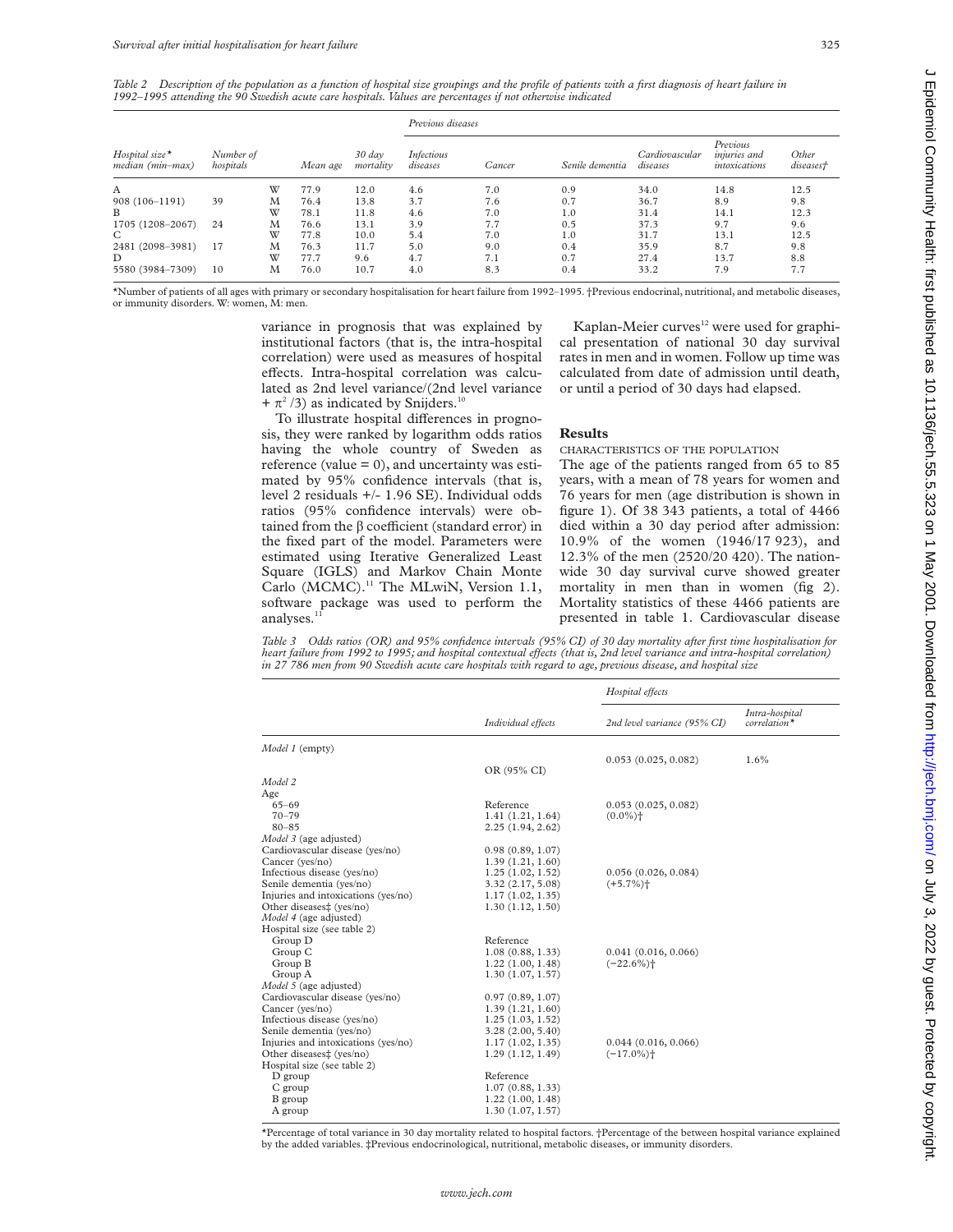*Table 2 Description of the population as a function of hospital size groupings and the profile of patients with a first diagnosis of heart failure in 1992–1995 attending the 90 Swedish acute care hospitals. Values are percentages if not otherwise indicated*

|                                      |                        |   | Mean age | $30 \, day$<br>mortality | Previous diseases      |        |                 |                            |                                           |                    |
|--------------------------------------|------------------------|---|----------|--------------------------|------------------------|--------|-----------------|----------------------------|-------------------------------------------|--------------------|
| $Hospital size*$<br>median (min-max) | Number of<br>hospitals |   |          |                          | Infectious<br>diseases | Cancer | Senile dementia | Cardiovascular<br>diseases | Previous<br>injuries and<br>intoxications | Other<br>diseases† |
| A                                    |                        | W | 77.9     | 12.0                     | 4.6                    | 7.0    | 0.9             | 34.0                       | 14.8                                      | 12.5               |
| 908 (106-1191)                       | 39                     | M | 76.4     | 13.8                     | 3.7                    | 7.6    | 0.7             | 36.7                       | 8.9                                       | 9.8                |
| B                                    |                        | W | 78.1     | 11.8                     | 4.6                    | 7.0    | 1.0             | 31.4                       | 14.1                                      | 12.3               |
| 1705 (1208-2067)                     | 24                     | M | 76.6     | 13.1                     | 3.9                    | 7.7    | 0.5             | 37.3                       | 9.7                                       | 9.6                |
| C                                    |                        | W | 77.8     | 10.0                     | 5.4                    | 7.0    | 1.0             | 31.7                       | 13.1                                      | 12.5               |
| 2481 (2098-3981)                     | 17                     | M | 76.3     | 11.7                     | 5.0                    | 9.0    | 0.4             | 35.9                       | 8.7                                       | 9.8                |
| D                                    |                        | W | 77.7     | 9.6                      | 4.7                    | 7.1    | 0.7             | 27.4                       | 13.7                                      | 8.8                |
| 5580 (3984-7309)                     | 10                     | M | 76.0     | 10.7                     | 4.0                    | 8.3    | 0.4             | 33.2                       | 7.9                                       | 7.7                |

\*Number of patients of all ages with primary or secondary hospitalisation for heart failure from 1992–1995. †Previous endocrinal, nutritional, and metabolic diseases, or immunity disorders. W: women, M: men.

> variance in prognosis that was explained by institutional factors (that is, the intra-hospital correlation) were used as measures of hospital effects. Intra-hospital correlation was calculated as 2nd level variance/(2nd level variance +  $\pi^2$  /3) as indicated by Snijders.<sup>10</sup>

cal presentation of national 30 day survival rates in men and in women. Follow up time was **Results**

To illustrate hospital differences in prognosis, they were ranked by logarithm odds ratios having the whole country of Sweden as reference (value  $= 0$ ), and uncertainty was estimated by 95% confidence intervals (that is, level 2 residuals +/- 1.96 SE). Individual odds ratios (95% confidence intervals) were obtained from the  $\beta$  coefficient (standard error) in the fixed part of the model. Parameters were estimated using Iterative Generalized Least Square (IGLS) and Markov Chain Monte Carlo (MCMC).<sup>11</sup> The MLwiN, Version 1.1, software package was used to perform the analyses.<sup>1</sup>

calculated from date of admission until death, or until a period of 30 days had elapsed. CHARACTERISTICS OF THE POPULATION The age of the patients ranged from 65 to 85 years, with a mean of 78 years for women and

Kaplan-Meier curves<sup>12</sup> were used for graphi-

76 years for men (age distribution is shown in figure 1). Of 38 343 patients, a total of 4466 died within a 30 day period after admission: 10.9% of the women (1946/17 923), and 12.3% of the men (2520/20 420). The nationwide 30 day survival curve showed greater mortality in men than in women (fig 2). Mortality statistics of these 4466 patients are presented in table 1. Cardiovascular disease

*Table 3 Odds ratios (OR) and 95% confidence intervals (95% CI) of 30 day mortality after first time hospitalisation for heart failure from 1992 to 1995; and hospital contextual effects (that is, 2nd level variance and intra-hospital correlation) in 27 786 men from 90 Swedish acute care hospitals with regard to age, previous disease, and hospital size*

|                                     |                                      | Hospital effects            |                                  |  |
|-------------------------------------|--------------------------------------|-----------------------------|----------------------------------|--|
|                                     | Individual effects                   | 2nd level variance (95% CI) | Intra-hospital<br>$correlation*$ |  |
| Model 1 (empty)                     |                                      |                             |                                  |  |
|                                     |                                      | 0.053(0.025, 0.082)         | 1.6%                             |  |
| Model 2                             | OR (95% CI)                          |                             |                                  |  |
| Age                                 |                                      |                             |                                  |  |
| $65 - 69$                           | Reference                            | 0.053(0.025, 0.082)         |                                  |  |
| $70 - 79$                           | 1.41(1.21, 1.64)                     | $(0.0\%)$ <sup>+</sup>      |                                  |  |
| $80 - 85$                           | 2.25(1.94, 2.62)                     |                             |                                  |  |
| Model 3 (age adjusted)              |                                      |                             |                                  |  |
| Cardiovascular disease (yes/no)     | 0.98(0.89, 1.07)                     |                             |                                  |  |
| Cancer (yes/no)                     | 1.39(1.21, 1.60)                     |                             |                                  |  |
| Infectious disease (yes/no)         | 1.25(1.02, 1.52)                     | 0.056(0.026, 0.084)         |                                  |  |
| Senile dementia (yes/no)            | 3.32(2.17, 5.08)                     | $(+5.7\%)$                  |                                  |  |
| Injuries and intoxications (yes/no) | 1.17(1.02, 1.35)                     |                             |                                  |  |
| Other diseases‡ (yes/no)            | 1.30(1.12, 1.50)                     |                             |                                  |  |
| Model 4 (age adjusted)              |                                      |                             |                                  |  |
| Hospital size (see table 2)         |                                      |                             |                                  |  |
| Group D                             | Reference                            |                             |                                  |  |
| Group C                             | 1.08(0.88, 1.33)                     | 0.041(0.016, 0.066)         |                                  |  |
| Group B                             | 1.22(1.00, 1.48)                     | $(-22.6\%)$                 |                                  |  |
| Group A                             | 1.30(1.07, 1.57)                     |                             |                                  |  |
| Model 5 (age adjusted)              |                                      |                             |                                  |  |
| Cardiovascular disease (yes/no)     | 0.97(0.89, 1.07)                     |                             |                                  |  |
| Cancer (yes/no)                     | 1.39(1.21, 1.60)                     |                             |                                  |  |
| Infectious disease (yes/no)         | 1.25(1.03, 1.52)                     |                             |                                  |  |
| Senile dementia (yes/no)            | 3.28(2.00, 5.40)                     |                             |                                  |  |
| Injuries and intoxications (yes/no) | 1.17(1.02, 1.35)                     | 0.044(0.016, 0.066)         |                                  |  |
| Other diseases‡ (yes/no)            | 1.29(1.12, 1.49)                     | $(-17.0\%)$                 |                                  |  |
| Hospital size (see table 2)         | Reference                            |                             |                                  |  |
| D group                             |                                      |                             |                                  |  |
| C group                             | 1.07(0.88, 1.33)                     |                             |                                  |  |
| B group<br>A group                  | 1.22(1.00, 1.48)<br>1.30(1.07, 1.57) |                             |                                  |  |
|                                     |                                      |                             |                                  |  |

\*Percentage of total variance in 30 day mortality related to hospital factors. †Percentage of the between hospital variance explained by the added variables. ‡Previous endocrinological, nutritional, metabolic diseases, or immunity disorders.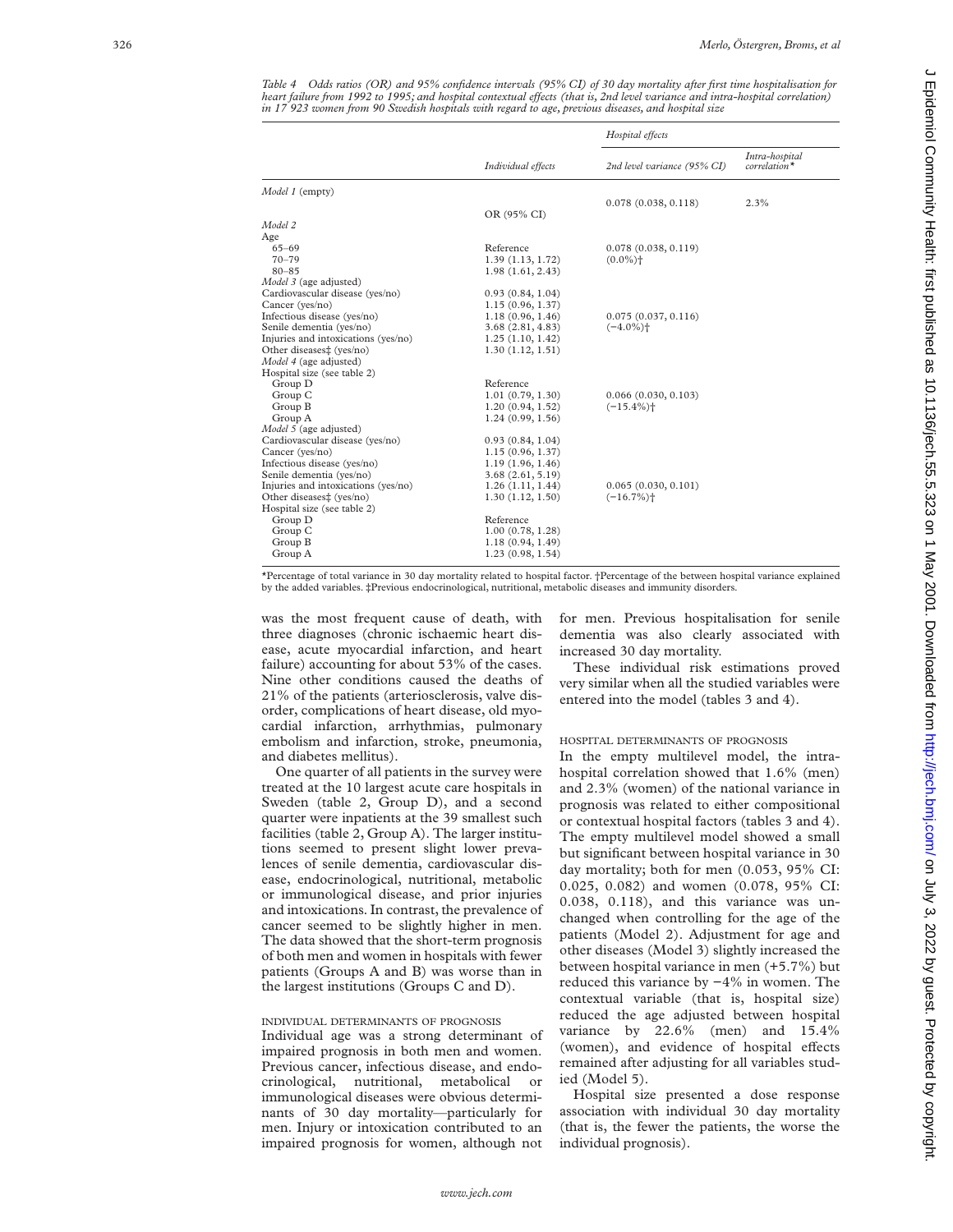*Table 4 Odds ratios (OR) and 95% confidence intervals (95% CI) of 30 day mortality after first time hospitalisation for heart failure from 1992 to 1995; and hospital contextual effects (that is, 2nd level variance and intra-hospital correlation) in 17 923 women from 90 Swedish hospitals with regard to age, previous diseases, and hospital size*

|                    | Hospital effects                                                                                                                                                                                                                                                                                                                                                                                                                               |                                                                                                                                                                                      |  |
|--------------------|------------------------------------------------------------------------------------------------------------------------------------------------------------------------------------------------------------------------------------------------------------------------------------------------------------------------------------------------------------------------------------------------------------------------------------------------|--------------------------------------------------------------------------------------------------------------------------------------------------------------------------------------|--|
| Individual effects | 2nd level variance (95% CI)                                                                                                                                                                                                                                                                                                                                                                                                                    | Intra-hospital<br>$correlation*$                                                                                                                                                     |  |
|                    |                                                                                                                                                                                                                                                                                                                                                                                                                                                |                                                                                                                                                                                      |  |
|                    |                                                                                                                                                                                                                                                                                                                                                                                                                                                | 2.3%                                                                                                                                                                                 |  |
|                    |                                                                                                                                                                                                                                                                                                                                                                                                                                                |                                                                                                                                                                                      |  |
|                    |                                                                                                                                                                                                                                                                                                                                                                                                                                                |                                                                                                                                                                                      |  |
|                    |                                                                                                                                                                                                                                                                                                                                                                                                                                                |                                                                                                                                                                                      |  |
|                    |                                                                                                                                                                                                                                                                                                                                                                                                                                                |                                                                                                                                                                                      |  |
|                    |                                                                                                                                                                                                                                                                                                                                                                                                                                                |                                                                                                                                                                                      |  |
|                    |                                                                                                                                                                                                                                                                                                                                                                                                                                                |                                                                                                                                                                                      |  |
|                    |                                                                                                                                                                                                                                                                                                                                                                                                                                                |                                                                                                                                                                                      |  |
|                    |                                                                                                                                                                                                                                                                                                                                                                                                                                                |                                                                                                                                                                                      |  |
|                    |                                                                                                                                                                                                                                                                                                                                                                                                                                                |                                                                                                                                                                                      |  |
|                    |                                                                                                                                                                                                                                                                                                                                                                                                                                                |                                                                                                                                                                                      |  |
|                    |                                                                                                                                                                                                                                                                                                                                                                                                                                                |                                                                                                                                                                                      |  |
|                    |                                                                                                                                                                                                                                                                                                                                                                                                                                                |                                                                                                                                                                                      |  |
|                    |                                                                                                                                                                                                                                                                                                                                                                                                                                                |                                                                                                                                                                                      |  |
|                    |                                                                                                                                                                                                                                                                                                                                                                                                                                                |                                                                                                                                                                                      |  |
|                    |                                                                                                                                                                                                                                                                                                                                                                                                                                                |                                                                                                                                                                                      |  |
|                    |                                                                                                                                                                                                                                                                                                                                                                                                                                                |                                                                                                                                                                                      |  |
|                    |                                                                                                                                                                                                                                                                                                                                                                                                                                                |                                                                                                                                                                                      |  |
|                    |                                                                                                                                                                                                                                                                                                                                                                                                                                                |                                                                                                                                                                                      |  |
|                    |                                                                                                                                                                                                                                                                                                                                                                                                                                                |                                                                                                                                                                                      |  |
|                    |                                                                                                                                                                                                                                                                                                                                                                                                                                                |                                                                                                                                                                                      |  |
|                    |                                                                                                                                                                                                                                                                                                                                                                                                                                                |                                                                                                                                                                                      |  |
|                    |                                                                                                                                                                                                                                                                                                                                                                                                                                                |                                                                                                                                                                                      |  |
|                    |                                                                                                                                                                                                                                                                                                                                                                                                                                                |                                                                                                                                                                                      |  |
|                    |                                                                                                                                                                                                                                                                                                                                                                                                                                                |                                                                                                                                                                                      |  |
|                    |                                                                                                                                                                                                                                                                                                                                                                                                                                                |                                                                                                                                                                                      |  |
|                    |                                                                                                                                                                                                                                                                                                                                                                                                                                                |                                                                                                                                                                                      |  |
|                    |                                                                                                                                                                                                                                                                                                                                                                                                                                                |                                                                                                                                                                                      |  |
|                    |                                                                                                                                                                                                                                                                                                                                                                                                                                                |                                                                                                                                                                                      |  |
|                    |                                                                                                                                                                                                                                                                                                                                                                                                                                                |                                                                                                                                                                                      |  |
| 1.23(0.98, 1.54)   |                                                                                                                                                                                                                                                                                                                                                                                                                                                |                                                                                                                                                                                      |  |
|                    | OR (95% CI)<br>Reference<br>1.39(1.13, 1.72)<br>1.98(1.61, 2.43)<br>0.93(0.84, 1.04)<br>1.15(0.96, 1.37)<br>1.18(0.96, 1.46)<br>3.68(2.81, 4.83)<br>1.25(1.10, 1.42)<br>1.30(1.12, 1.51)<br>Reference<br>1.01(0.79, 1.30)<br>1.20(0.94, 1.52)<br>1.24(0.99, 1.56)<br>0.93(0.84, 1.04)<br>1.15(0.96, 1.37)<br>1.19(1.96, 1.46)<br>3.68(2.61, 5.19)<br>1.26(1.11, 1.44)<br>1.30(1.12, 1.50)<br>Reference<br>1.00(0.78, 1.28)<br>1.18(0.94, 1.49) | 0.078(0.038, 0.118)<br>0.078(0.038, 0.119)<br>$(0.0\%)$ <sup>+</sup><br>0.075(0.037, 0.116)<br>$(-4.0\%)$<br>0.066(0.030, 0.103)<br>$(-15.4\%)$<br>0.065(0.030, 0.101)<br>$(-16.7%)$ |  |

\*Percentage of total variance in 30 day mortality related to hospital factor. †Percentage of the between hospital variance explained by the added variables. ‡Previous endocrinological, nutritional, metabolic diseases and immunity disorders.

was the most frequent cause of death, with three diagnoses (chronic ischaemic heart disease, acute myocardial infarction, and heart failure) accounting for about 53% of the cases. Nine other conditions caused the deaths of 21% of the patients (arteriosclerosis, valve disorder, complications of heart disease, old myocardial infarction, arrhythmias, pulmonary embolism and infarction, stroke, pneumonia, and diabetes mellitus).

One quarter of all patients in the survey were treated at the 10 largest acute care hospitals in Sweden (table 2, Group D), and a second quarter were inpatients at the 39 smallest such facilities (table 2, Group A). The larger institutions seemed to present slight lower prevalences of senile dementia, cardiovascular disease, endocrinological, nutritional, metabolic or immunological disease, and prior injuries and intoxications. In contrast, the prevalence of cancer seemed to be slightly higher in men. The data showed that the short-term prognosis of both men and women in hospitals with fewer patients (Groups A and B) was worse than in the largest institutions (Groups C and D).

#### INDIVIDUAL DETERMINANTS OF PROGNOSIS

Individual age was a strong determinant of impaired prognosis in both men and women. Previous cancer, infectious disease, and endocrinological, nutritional, metabolical or immunological diseases were obvious determinants of 30 day mortality—particularly for men. Injury or intoxication contributed to an impaired prognosis for women, although not

for men. Previous hospitalisation for senile dementia was also clearly associated with increased 30 day mortality.

These individual risk estimations proved very similar when all the studied variables were entered into the model (tables 3 and 4).

# HOSPITAL DETERMINANTS OF PROGNOSIS

In the empty multilevel model, the intrahospital correlation showed that 1.6% (men) and 2.3% (women) of the national variance in prognosis was related to either compositional or contextual hospital factors (tables 3 and 4). The empty multilevel model showed a small but significant between hospital variance in 30 day mortality; both for men (0.053, 95% CI: 0.025, 0.082) and women (0.078, 95% CI: 0.038, 0.118), and this variance was unchanged when controlling for the age of the patients (Model 2). Adjustment for age and other diseases (Model 3) slightly increased the between hospital variance in men (+5.7%) but reduced this variance by −4% in women. The contextual variable (that is, hospital size) reduced the age adjusted between hospital variance by 22.6% (men) and 15.4% (women), and evidence of hospital effects remained after adjusting for all variables studied (Model 5).

Hospital size presented a dose response association with individual 30 day mortality (that is, the fewer the patients, the worse the individual prognosis).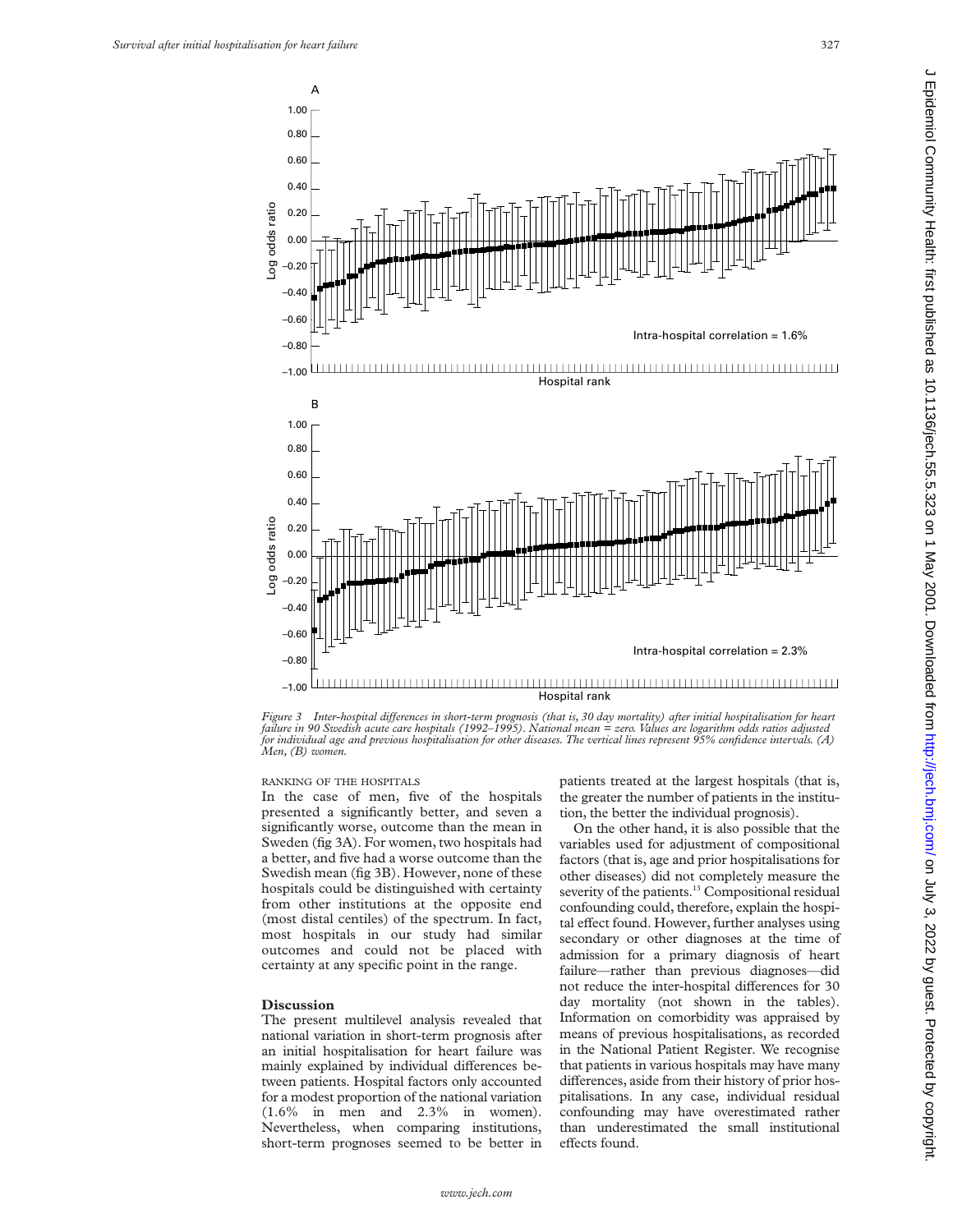

Figure 3 Inter-hospital differences in short-term prognosis (that is, 30 day mortality) after initial hospitalisation for heart<br>failure in 90 Swedish acute care hospitals (1992–1995). National mean = zero. Values are logar *for individual age and previous hospitalisation for other diseases. The vertical lines represent 95% confidence intervals. (A) Men, (B) women.*

#### RANKING OF THE HOSPITALS

In the case of men, five of the hospitals presented a significantly better, and seven a significantly worse, outcome than the mean in Sweden (fig 3A). For women, two hospitals had a better, and five had a worse outcome than the Swedish mean (fig 3B). However, none of these hospitals could be distinguished with certainty from other institutions at the opposite end (most distal centiles) of the spectrum. In fact, most hospitals in our study had similar outcomes and could not be placed with certainty at any specific point in the range.

#### **Discussion**

The present multilevel analysis revealed that national variation in short-term prognosis after an initial hospitalisation for heart failure was mainly explained by individual differences between patients. Hospital factors only accounted for a modest proportion of the national variation (1.6% in men and 2.3% in women). Nevertheless, when comparing institutions, short-term prognoses seemed to be better in patients treated at the largest hospitals (that is, the greater the number of patients in the institution, the better the individual prognosis).

On the other hand, it is also possible that the variables used for adjustment of compositional factors (that is, age and prior hospitalisations for other diseases) did not completely measure the severity of the patients.<sup>13</sup> Compositional residual confounding could, therefore, explain the hospital effect found. However, further analyses using secondary or other diagnoses at the time of admission for a primary diagnosis of heart failure—rather than previous diagnoses—did not reduce the inter-hospital differences for 30 day mortality (not shown in the tables). Information on comorbidity was appraised by means of previous hospitalisations, as recorded in the National Patient Register. We recognise that patients in various hospitals may have many differences, aside from their history of prior hospitalisations. In any case, individual residual confounding may have overestimated rather than underestimated the small institutional effects found.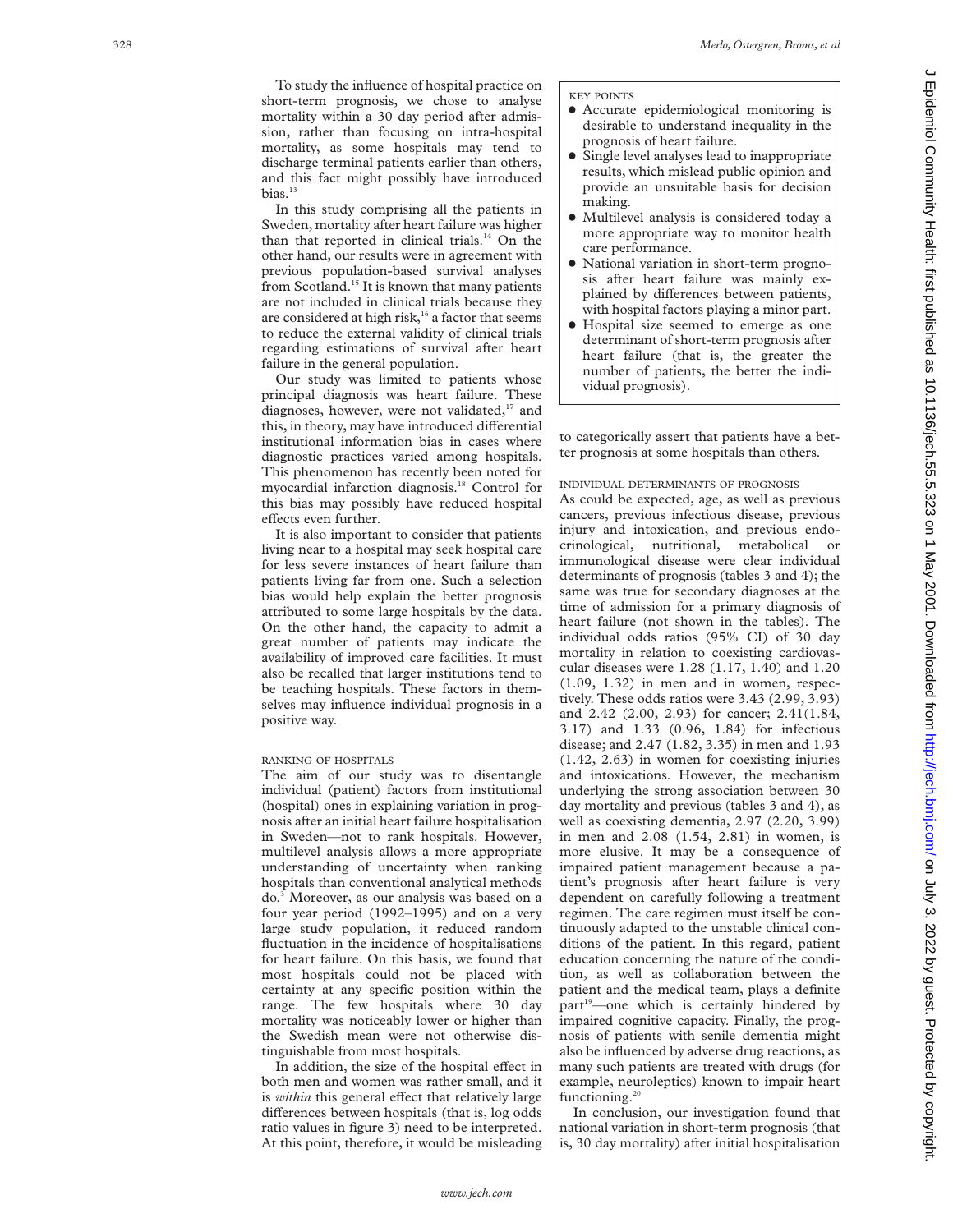To study the influence of hospital practice on short-term prognosis, we chose to analyse mortality within a 30 day period after admission, rather than focusing on intra-hospital mortality, as some hospitals may tend to discharge terminal patients earlier than others, and this fact might possibly have introduced bias. $13$ 

In this study comprising all the patients in Sweden, mortality after heart failure was higher than that reported in clinical trials.<sup>14</sup> On the other hand, our results were in agreement with previous population-based survival analyses from Scotland.15 It is known that many patients are not included in clinical trials because they are considered at high risk,<sup>16</sup> a factor that seems to reduce the external validity of clinical trials regarding estimations of survival after heart failure in the general population.

Our study was limited to patients whose principal diagnosis was heart failure. These diagnoses, however, were not validated, $17$  and this, in theory, may have introduced differential institutional information bias in cases where diagnostic practices varied among hospitals. This phenomenon has recently been noted for myocardial infarction diagnosis.18 Control for this bias may possibly have reduced hospital effects even further.

It is also important to consider that patients living near to a hospital may seek hospital care for less severe instances of heart failure than patients living far from one. Such a selection bias would help explain the better prognosis attributed to some large hospitals by the data. On the other hand, the capacity to admit a great number of patients may indicate the availability of improved care facilities. It must also be recalled that larger institutions tend to be teaching hospitals. These factors in themselves may influence individual prognosis in a positive way.

# RANKING OF HOSPITALS

The aim of our study was to disentangle individual (patient) factors from institutional (hospital) ones in explaining variation in prognosis after an initial heart failure hospitalisation in Sweden—not to rank hospitals. However, multilevel analysis allows a more appropriate understanding of uncertainty when ranking hospitals than conventional analytical methods do. <sup>3</sup> Moreover, as our analysis was based on a four year period (1992–1995) and on a very large study population, it reduced random fluctuation in the incidence of hospitalisations for heart failure. On this basis, we found that most hospitals could not be placed with certainty at any specific position within the range. The few hospitals where 30 day mortality was noticeably lower or higher than the Swedish mean were not otherwise distinguishable from most hospitals.

In addition, the size of the hospital effect in both men and women was rather small, and it is within this general effect that relatively large differences between hospitals (that is, log odds ratio values in figure 3) need to be interpreted. At this point, therefore, it would be misleading

#### KEY POINTS

- Accurate epidemiological monitoring is desirable to understand inequality in the prognosis of heart failure.
- Single level analyses lead to inappropriate results, which mislead public opinion and provide an unsuitable basis for decision making.
- Multilevel analysis is considered today a more appropriate way to monitor health care performance.
- National variation in short-term prognosis after heart failure was mainly explained by differences between patients, with hospital factors playing a minor part.
- Hospital size seemed to emerge as one determinant of short-term prognosis after heart failure (that is, the greater the number of patients, the better the individual prognosis).

to categorically assert that patients have a better prognosis at some hospitals than others.

# INDIVIDUAL DETERMINANTS OF PROGNOSIS

As could be expected, age, as well as previous cancers, previous infectious disease, previous injury and intoxication, and previous endocrinological, nutritional, metabolical or immunological disease were clear individual determinants of prognosis (tables 3 and 4); the same was true for secondary diagnoses at the time of admission for a primary diagnosis of heart failure (not shown in the tables). The individual odds ratios (95% CI) of 30 day mortality in relation to coexisting cardiovascular diseases were 1.28 (1.17, 1.40) and 1.20 (1.09, 1.32) in men and in women, respectively. These odds ratios were 3.43 (2.99, 3.93) and 2.42 (2.00, 2.93) for cancer; 2.41(1.84, 3.17) and 1.33 (0.96, 1.84) for infectious disease; and 2.47 (1.82, 3.35) in men and 1.93 (1.42, 2.63) in women for coexisting injuries and intoxications. However, the mechanism underlying the strong association between 30 day mortality and previous (tables 3 and 4), as well as coexisting dementia, 2.97 (2.20, 3.99) in men and 2.08 (1.54, 2.81) in women, is more elusive. It may be a consequence of impaired patient management because a patient's prognosis after heart failure is very dependent on carefully following a treatment regimen. The care regimen must itself be continuously adapted to the unstable clinical conditions of the patient. In this regard, patient education concerning the nature of the condition, as well as collaboration between the patient and the medical team, plays a definite part<sup>19</sup>—one which is certainly hindered by impaired cognitive capacity. Finally, the prognosis of patients with senile dementia might also be influenced by adverse drug reactions, as many such patients are treated with drugs (for example, neuroleptics) known to impair heart functioning.<sup>20</sup>

In conclusion, our investigation found that national variation in short-term prognosis (that is, 30 day mortality) after initial hospitalisation